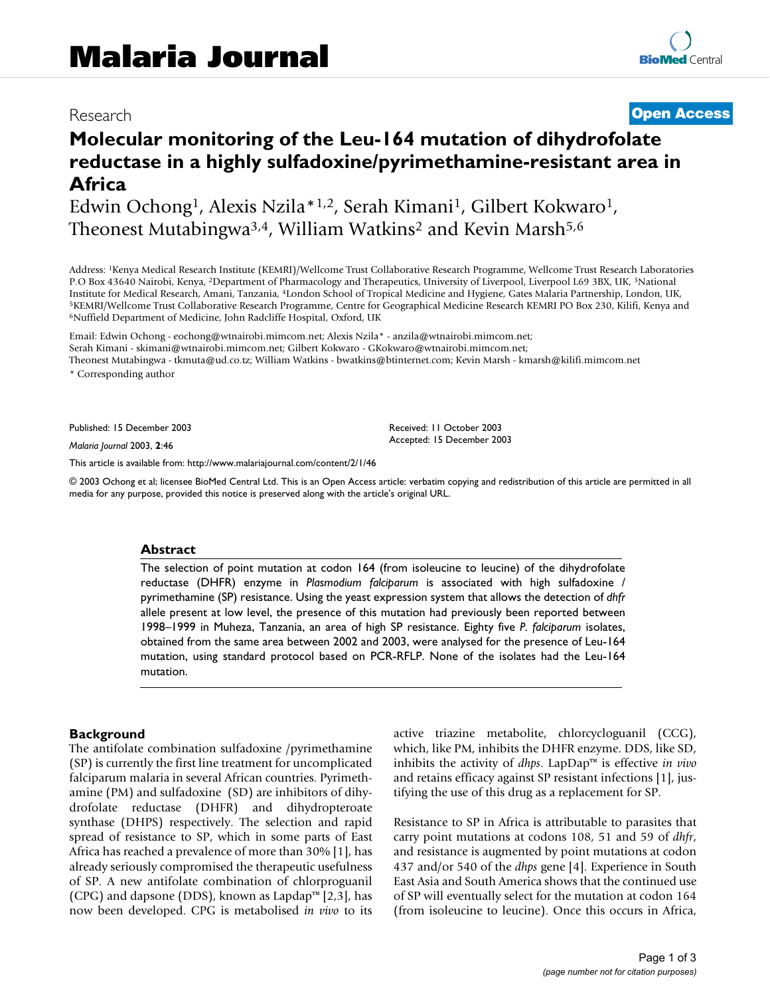# Research **[Open Access](http://www.biomedcentral.com/info/about/charter/)**

# **Molecular monitoring of the Leu-164 mutation of dihydrofolate reductase in a highly sulfadoxine/pyrimethamine-resistant area in Africa**

Edwin Ochong1, Alexis Nzila\*1,2, Serah Kimani1, Gilbert Kokwaro1, Theonest Mutabingwa<sup>3,4</sup>, William Watkins<sup>2</sup> and Kevin Marsh<sup>5,6</sup>

Address: 1Kenya Medical Research Institute (KEMRI)/Wellcome Trust Collaborative Research Programme, Wellcome Trust Research Laboratories P.O Box 43640 Nairobi, Kenya, 2Department of Pharmacology and Therapeutics, University of Liverpool, Liverpool L69 3BX, UK, 3National Institute for Medical Research, Amani, Tanzania, <sup>4</sup>London School of Tropical Medicine and Hygiene, Gates Malaria Partnership, London, UK,<br><sup>5</sup>KEMRI/Wellcome Trust Collaborative Research Programme, Centre for Geographical M

Email: Edwin Ochong - eochong@wtnairobi.mimcom.net; Alexis Nzila\* - anzila@wtnairobi.mimcom.net; Serah Kimani - skimani@wtnairobi.mimcom.net; Gilbert Kokwaro - GKokwaro@wtnairobi.mimcom.net; Theonest Mutabingwa - tkmuta@ud.co.tz; William Watkins - bwatkins@btinternet.com; Kevin Marsh - kmarsh@kilifi.mimcom.net \* Corresponding author

Published: 15 December 2003

*Malaria Journal* 2003, **2**:46

[This article is available from: http://www.malariajournal.com/content/2/1/46](http://www.malariajournal.com/content/2/1/46)

© 2003 Ochong et al; licensee BioMed Central Ltd. This is an Open Access article: verbatim copying and redistribution of this article are permitted in all media for any purpose, provided this notice is preserved along with the article's original URL.

Received: 11 October 2003 Accepted: 15 December 2003

#### **Abstract**

The selection of point mutation at codon 164 (from isoleucine to leucine) of the dihydrofolate reductase (DHFR) enzyme in *Plasmodium falciparum* is associated with high sulfadoxine / pyrimethamine (SP) resistance. Using the yeast expression system that allows the detection of *dhfr* allele present at low level, the presence of this mutation had previously been reported between 1998–1999 in Muheza, Tanzania, an area of high SP resistance. Eighty five *P. falciparum* isolates, obtained from the same area between 2002 and 2003, were analysed for the presence of Leu-164 mutation, using standard protocol based on PCR-RFLP. None of the isolates had the Leu-164 mutation.

#### **Background**

The antifolate combination sulfadoxine /pyrimethamine (SP) is currently the first line treatment for uncomplicated falciparum malaria in several African countries. Pyrimethamine (PM) and sulfadoxine (SD) are inhibitors of dihydrofolate reductase (DHFR) and dihydropteroate synthase (DHPS) respectively. The selection and rapid spread of resistance to SP, which in some parts of East Africa has reached a prevalence of more than 30% [1], has already seriously compromised the therapeutic usefulness of SP. A new antifolate combination of chlorproguanil (CPG) and dapsone (DDS), known as Lapdap™  $[2,3]$ , has now been developed. CPG is metabolised *in vivo* to its active triazine metabolite, chlorcycloguanil (CCG), which, like PM, inhibits the DHFR enzyme. DDS, like SD, inhibits the activity of *dhps*. LapDap™ is effective *in vivo* and retains efficacy against SP resistant infections [1], justifying the use of this drug as a replacement for SP.

Resistance to SP in Africa is attributable to parasites that carry point mutations at codons 108, 51 and 59 of *dhfr*, and resistance is augmented by point mutations at codon 437 and/or 540 of the *dhps* gene [[4](#page-2-0)]. Experience in South East Asia and South America shows that the continued use of SP will eventually select for the mutation at codon 164 (from isoleucine to leucine). Once this occurs in Africa,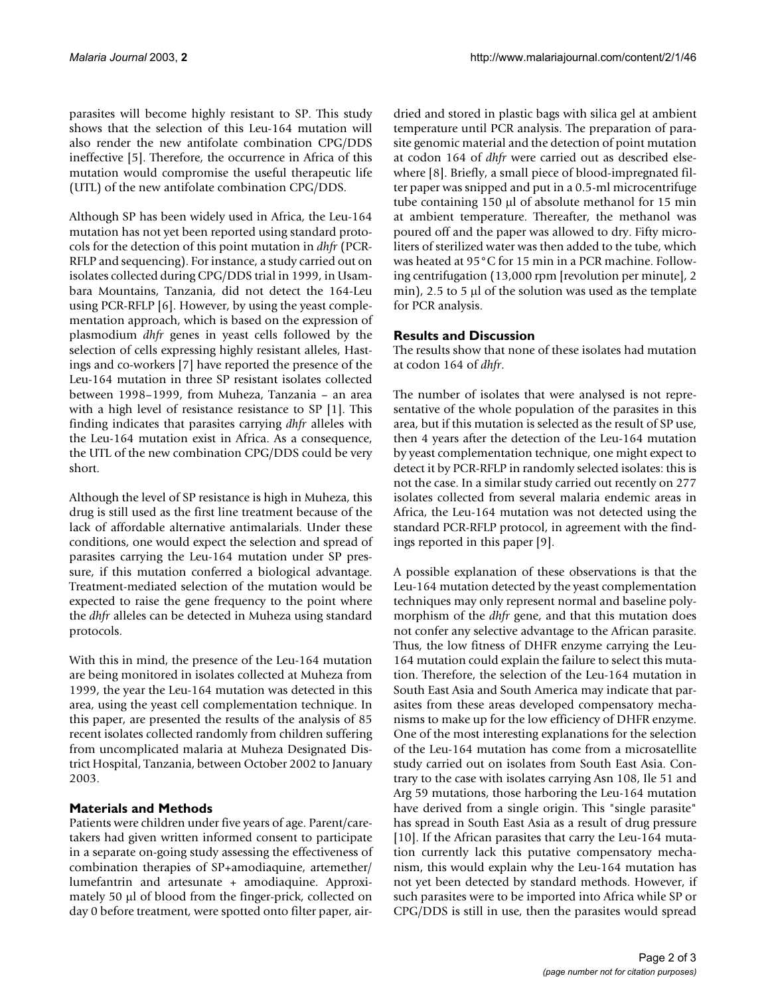parasites will become highly resistant to SP. This study shows that the selection of this Leu-164 mutation will also render the new antifolate combination CPG/DDS ineffective [5]. Therefore, the occurrence in Africa of this mutation would compromise the useful therapeutic life (UTL) of the new antifolate combination CPG/DDS.

Although SP has been widely used in Africa, the Leu-164 mutation has not yet been reported using standard protocols for the detection of this point mutation in *dhfr* (PCR-RFLP and sequencing). For instance, a study carried out on isolates collected during CPG/DDS trial in 1999, in Usambara Mountains, Tanzania, did not detect the 164-Leu using PCR-RFLP [[6](#page-2-1)]. However, by using the yeast complementation approach, which is based on the expression of plasmodium *dhfr* genes in yeast cells followed by the selection of cells expressing highly resistant alleles, Hastings and co-workers [\[7\]](#page-2-2) have reported the presence of the Leu-164 mutation in three SP resistant isolates collected between 1998–1999, from Muheza, Tanzania – an area with a high level of resistance resistance to SP [1]. This finding indicates that parasites carrying *dhfr* alleles with the Leu-164 mutation exist in Africa. As a consequence, the UTL of the new combination CPG/DDS could be very short.

Although the level of SP resistance is high in Muheza, this drug is still used as the first line treatment because of the lack of affordable alternative antimalarials. Under these conditions, one would expect the selection and spread of parasites carrying the Leu-164 mutation under SP pressure, if this mutation conferred a biological advantage. Treatment-mediated selection of the mutation would be expected to raise the gene frequency to the point where the *dhfr* alleles can be detected in Muheza using standard protocols.

With this in mind, the presence of the Leu-164 mutation are being monitored in isolates collected at Muheza from 1999, the year the Leu-164 mutation was detected in this area, using the yeast cell complementation technique. In this paper, are presented the results of the analysis of 85 recent isolates collected randomly from children suffering from uncomplicated malaria at Muheza Designated District Hospital, Tanzania, between October 2002 to January 2003.

# **Materials and Methods**

Patients were children under five years of age. Parent/caretakers had given written informed consent to participate in a separate on-going study assessing the effectiveness of combination therapies of SP+amodiaquine, artemether/ lumefantrin and artesunate + amodiaquine. Approximately 50 µl of blood from the finger-prick, collected on day 0 before treatment, were spotted onto filter paper, airdried and stored in plastic bags with silica gel at ambient temperature until PCR analysis. The preparation of parasite genomic material and the detection of point mutation at codon 164 of *dhfr* were carried out as described elsewhere [\[8\]](#page-2-3). Briefly, a small piece of blood-impregnated filter paper was snipped and put in a 0.5-ml microcentrifuge tube containing 150 µl of absolute methanol for 15 min at ambient temperature. Thereafter, the methanol was poured off and the paper was allowed to dry. Fifty microliters of sterilized water was then added to the tube, which was heated at 95°C for 15 min in a PCR machine. Following centrifugation (13,000 rpm [revolution per minute], 2 min), 2.5 to 5  $\mu$  of the solution was used as the template for PCR analysis.

# **Results and Discussion**

The results show that none of these isolates had mutation at codon 164 of *dhfr*.

The number of isolates that were analysed is not representative of the whole population of the parasites in this area, but if this mutation is selected as the result of SP use, then 4 years after the detection of the Leu-164 mutation by yeast complementation technique, one might expect to detect it by PCR-RFLP in randomly selected isolates: this is not the case. In a similar study carried out recently on 277 isolates collected from several malaria endemic areas in Africa, the Leu-164 mutation was not detected using the standard PCR-RFLP protocol, in agreement with the findings reported in this paper [[9](#page-2-4)].

A possible explanation of these observations is that the Leu-164 mutation detected by the yeast complementation techniques may only represent normal and baseline polymorphism of the *dhfr* gene, and that this mutation does not confer any selective advantage to the African parasite. Thus, the low fitness of DHFR enzyme carrying the Leu-164 mutation could explain the failure to select this mutation. Therefore, the selection of the Leu-164 mutation in South East Asia and South America may indicate that parasites from these areas developed compensatory mechanisms to make up for the low efficiency of DHFR enzyme. One of the most interesting explanations for the selection of the Leu-164 mutation has come from a microsatellite study carried out on isolates from South East Asia. Contrary to the case with isolates carrying Asn 108, Ile 51 and Arg 59 mutations, those harboring the Leu-164 mutation have derived from a single origin. This "single parasite" has spread in South East Asia as a result of drug pressure [10]. If the African parasites that carry the Leu-164 mutation currently lack this putative compensatory mechanism, this would explain why the Leu-164 mutation has not yet been detected by standard methods. However, if such parasites were to be imported into Africa while SP or CPG/DDS is still in use, then the parasites would spread